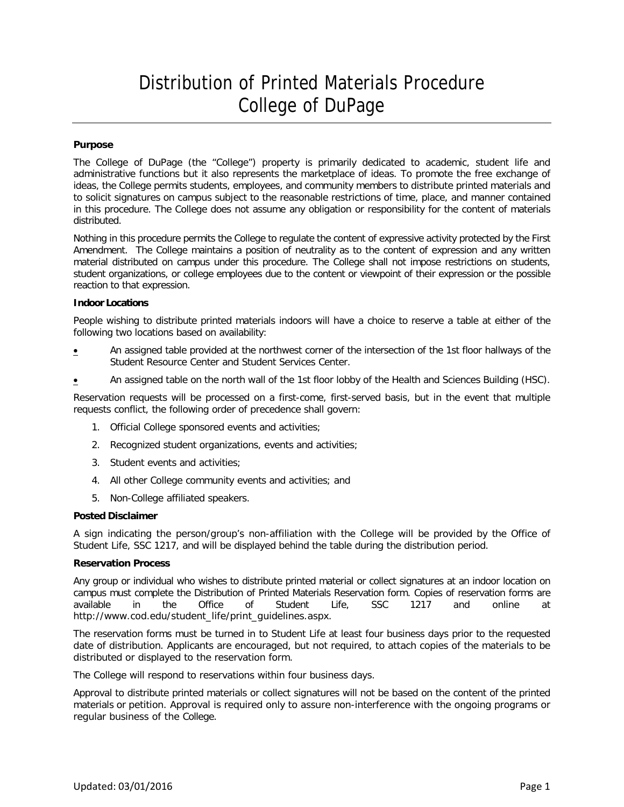# Distribution of Printed Materials Procedure College of DuPage

## **Purpose**

The College of DuPage (the "College") property is primarily dedicated to academic, student life and administrative functions but it also represents the marketplace of ideas. To promote the free exchange of ideas, the College permits students, employees, and community members to distribute printed materials and to solicit signatures on campus subject to the reasonable restrictions of time, place, and manner contained in this procedure. The College does not assume any obligation or responsibility for the content of materials distributed.

Nothing in this procedure permits the College to regulate the content of expressive activity protected by the First Amendment. The College maintains a position of neutrality as to the content of expression and any written material distributed on campus under this procedure. The College shall not impose restrictions on students, student organizations, or college employees due to the content or viewpoint of their expression or the possible reaction to that expression.

## **Indoor Locations**

People wishing to distribute printed materials indoors will have a choice to reserve a table at either of the following two locations based on availability:

- **An assigned table provided at the northwest corner of the intersection of the 1st floor hallways of the** Student Resource Center and Student Services Center.
- **An assigned table on the north wall of the 1st floor lobby of the Health and Sciences Building (HSC).**

Reservation requests will be processed on a first-come, first-served basis, but in the event that multiple requests conflict, the following order of precedence shall govern:

- 1. Official College sponsored events and activities;
- 2. Recognized student organizations, events and activities;
- 3. Student events and activities;
- 4. All other College community events and activities; and
- 5. Non-College affiliated speakers.

## **Posted Disclaimer**

A sign indicating the person/group's non-affiliation with the College will be provided by the Office of Student Life, SSC 1217, and will be displayed behind the table during the distribution period.

## **Reservation Process**

Any group or individual who wishes to distribute printed material or collect signatures at an indoor location on campus must complete the Distribution of Printed Materials Reservation form. Copies of reservation forms are available in the Office of Student Life, SSC 1217 and online at available in the Office of Student Life, SSC 1217 and online at [http://www.cod.edu/student\\_](http://www.cod.edu/student)life/print\_guidelines.aspx.

The reservation forms must be turned in to Student Life at least four business days prior to the requested date of distribution. Applicants are encouraged, but not required, to attach copies of the materials to be distributed or displayed to the reservation form.

The College will respond to reservations within four business days.

Approval to distribute printed materials or collect signatures will not be based on the content of the printed materials or petition. Approval is required only to assure non-interference with the ongoing programs or regular business of the College.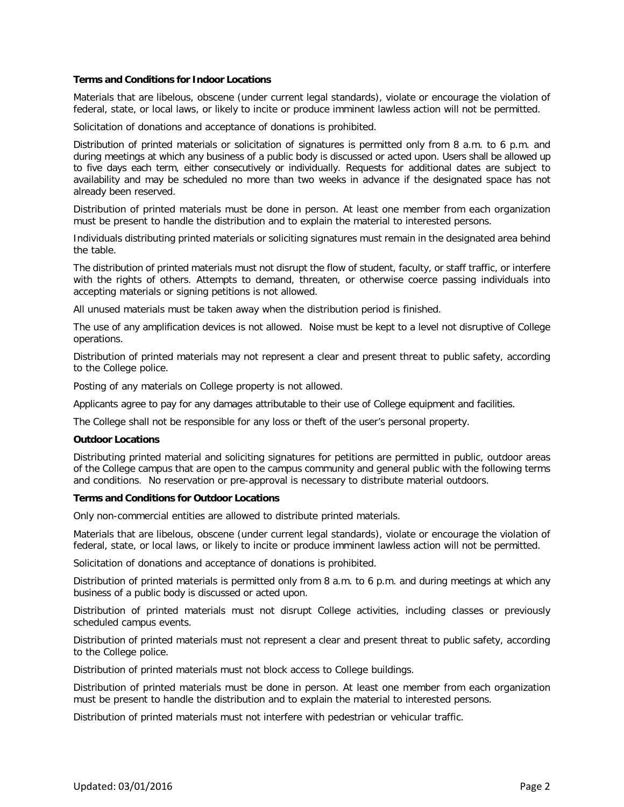## **Terms and Conditions for Indoor Locations**

Materials that are libelous, obscene (under current legal standards), violate or encourage the violation of federal, state, or local laws, or likely to incite or produce imminent lawless action will not be permitted.

Solicitation of donations and acceptance of donations is prohibited.

Distribution of printed materials or solicitation of signatures is permitted only from 8 a.m. to 6 p.m. and during meetings at which any business of a public body is discussed or acted upon. Users shall be allowed up to five days each term, either consecutively or individually. Requests for additional dates are subject to availability and may be scheduled no more than two weeks in advance if the designated space has not already been reserved.

Distribution of printed materials must be done in person. At least one member from each organization must be present to handle the distribution and to explain the material to interested persons.

Individuals distributing printed materials or soliciting signatures must remain in the designated area behind the table.

The distribution of printed materials must not disrupt the flow of student, faculty, or staff traffic, or interfere with the rights of others. Attempts to demand, threaten, or otherwise coerce passing individuals into accepting materials or signing petitions is not allowed.

All unused materials must be taken away when the distribution period is finished.

The use of any amplification devices is not allowed. Noise must be kept to a level not disruptive of College operations.

Distribution of printed materials may not represent a clear and present threat to public safety, according to the College police.

Posting of any materials on College property is not allowed.

Applicants agree to pay for any damages attributable to their use of College equipment and facilities.

The College shall not be responsible for any loss or theft of the user's personal property.

## **Outdoor Locations**

Distributing printed material and soliciting signatures for petitions are permitted in public, outdoor areas of the College campus that are open to the campus community and general public with the following terms and conditions. No reservation or pre-approval is necessary to distribute material outdoors.

## **Terms and Conditions for Outdoor Locations**

Only non-commercial entities are allowed to distribute printed materials.

Materials that are libelous, obscene (under current legal standards), violate or encourage the violation of federal, state, or local laws, or likely to incite or produce imminent lawless action will not be permitted.

Solicitation of donations and acceptance of donations is prohibited.

Distribution of printed materials is permitted only from 8 a.m. to 6 p.m. and during meetings at which any business of a public body is discussed or acted upon.

Distribution of printed materials must not disrupt College activities, including classes or previously scheduled campus events.

Distribution of printed materials must not represent a clear and present threat to public safety, according to the College police.

Distribution of printed materials must not block access to College buildings.

Distribution of printed materials must be done in person. At least one member from each organization must be present to handle the distribution and to explain the material to interested persons.

Distribution of printed materials must not interfere with pedestrian or vehicular traffic.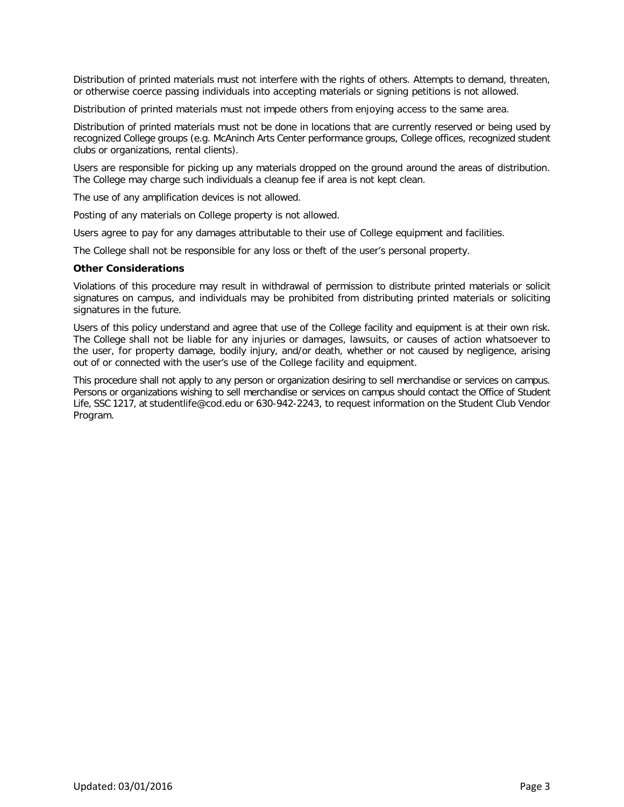Distribution of printed materials must not interfere with the rights of others. Attempts to demand, threaten, or otherwise coerce passing individuals into accepting materials or signing petitions is not allowed.

Distribution of printed materials must not impede others from enjoying access to the same area.

Distribution of printed materials must not be done in locations that are currently reserved or being used by recognized College groups (e.g. McAninch Arts Center performance groups, College offices, recognized student clubs or organizations, rental clients).

Users are responsible for picking up any materials dropped on the ground around the areas of distribution. The College may charge such individuals a cleanup fee if area is not kept clean.

The use of any amplification devices is not allowed.

Posting of any materials on College property is not allowed.

Users agree to pay for any damages attributable to their use of College equipment and facilities.

The College shall not be responsible for any loss or theft of the user's personal property.

#### **Other Considerations**

Violations of this procedure may result in withdrawal of permission to distribute printed materials or solicit signatures on campus, and individuals may be prohibited from distributing printed materials or soliciting signatures in the future.

Users of this policy understand and agree that use of the College facility and equipment is at their own risk. The College shall not be liable for any injuries or damages, lawsuits, or causes of action whatsoever to the user, for property damage, bodily injury, and/or death, whether or not caused by negligence, arising out of or connected with the user's use of the College facility and equipment.

This procedure shall not apply to any person or organization desiring to sell merchandise or services on campus. Persons or organizations wishing to sell merchandise or services on campus should contact the Office of Student Life, SSC 1217, at studentlife@cod.edu or 630-942-2243, to request information on the Student Club Vendor Program.